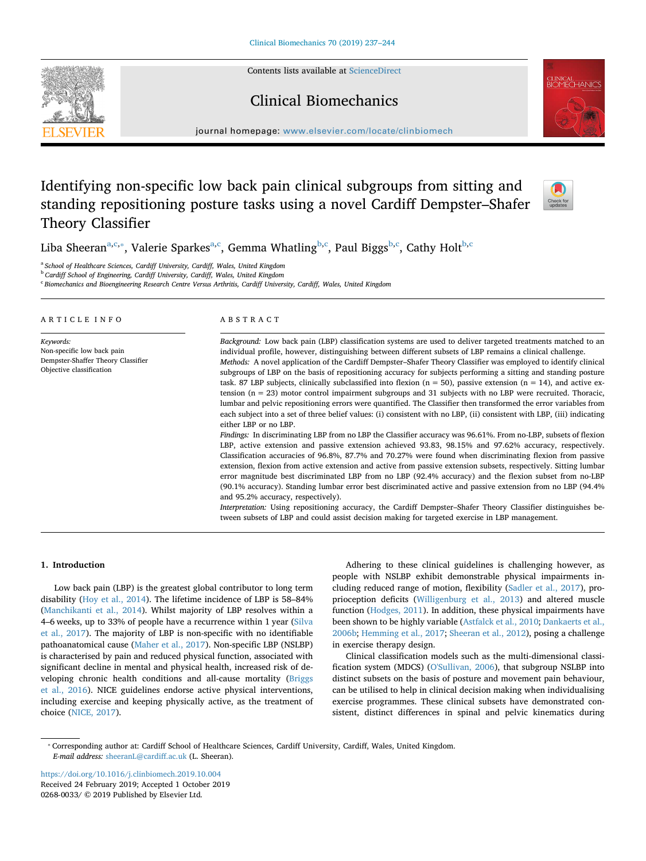Contents lists available at [ScienceDirect](http://www.sciencedirect.com/science/journal/02680033)

# Clinical Biomechanics

journal homepage: [www.elsevier.com/locate/clinbiomech](https://www.elsevier.com/locate/clinbiomech)

# Identifying non-specific low back pain clinical subgroups from sitting and standing repositioning posture tasks using a novel Cardiff Dempster–Shafer Theory Classifier



CLINICAL<br>BIOMECHANIC:

Liba Sheeran<sup>[a,](#page-0-0)[c,](#page-0-1)</sup>\*, Valerie Sparkes<sup>a,[c](#page-0-1)</sup>, Gemma Whatling<sup>[b,](#page-0-3)c</sup>, Paul Biggs<sup>b,c</sup>, Cathy Holt<sup>b,c</sup>

<span id="page-0-0"></span><sup>a</sup> *School of Healthcare Sciences, Cardiff University, Cardiff, Wales, United Kingdom*

<span id="page-0-3"></span><sup>b</sup> *Cardiff School of Engineering, Cardiff University, Cardiff, Wales, United Kingdom*

<span id="page-0-1"></span><sup>c</sup> *Biomechanics and Bioengineering Research Centre Versus Arthritis, Cardiff University, Cardiff, Wales, United Kingdom*

#### ARTICLE INFO *Keywords:* Non-specific low back pain Dempster-Shaffer Theory Classifier Objective classification ABSTRACT *Background:* Low back pain (LBP) classification systems are used to deliver targeted treatments matched to an individual profile, however, distinguishing between different subsets of LBP remains a clinical challenge. *Methods:* A novel application of the Cardiff Dempster–Shafer Theory Classifier was employed to identify clinical subgroups of LBP on the basis of repositioning accuracy for subjects performing a sitting and standing posture task. 87 LBP subjects, clinically subclassified into flexion ( $n = 50$ ), passive extension ( $n = 14$ ), and active extension (n = 23) motor control impairment subgroups and 31 subjects with no LBP were recruited. Thoracic, lumbar and pelvic repositioning errors were quantified. The Classifier then transformed the error variables from each subject into a set of three belief values: (i) consistent with no LBP, (ii) consistent with LBP, (iii) indicating either LBP or no LBP. *Findings:* In discriminating LBP from no LBP the Classifier accuracy was 96.61%. From no-LBP, subsets of flexion LBP, active extension and passive extension achieved 93.83, 98.15% and 97.62% accuracy, respectively. Classification accuracies of 96.8%, 87.7% and 70.27% were found when discriminating flexion from passive extension, flexion from active extension and active from passive extension subsets, respectively. Sitting lumbar error magnitude best discriminated LBP from no LBP (92.4% accuracy) and the flexion subset from no-LBP (90.1% accuracy). Standing lumbar error best discriminated active and passive extension from no LBP (94.4% and 95.2% accuracy, respectively). *Interpretation:* Using repositioning accuracy, the Cardiff Dempster–Shafer Theory Classifier distinguishes between subsets of LBP and could assist decision making for targeted exercise in LBP management.

# **1. Introduction**

Low back pain (LBP) is the greatest global contributor to long term disability [\(Hoy et al., 2014\)](#page-7-0). The lifetime incidence of LBP is 58–84% ([Manchikanti et al., 2014\)](#page-7-1). Whilst majority of LBP resolves within a 4–6 weeks, up to 33% of people have a recurrence within 1 year [\(Silva](#page-7-2) [et al., 2017](#page-7-2)). The majority of LBP is non-specific with no identifiable pathoanatomical cause ([Maher et al., 2017](#page-7-3)). Non-specific LBP (NSLBP) is characterised by pain and reduced physical function, associated with significant decline in mental and physical health, increased risk of developing chronic health conditions and all-cause mortality ([Briggs](#page-7-4) [et al., 2016\)](#page-7-4). NICE guidelines endorse active physical interventions, including exercise and keeping physically active, as the treatment of choice ([NICE, 2017\)](#page-7-5).

Adhering to these clinical guidelines is challenging however, as people with NSLBP exhibit demonstrable physical impairments including reduced range of motion, flexibility [\(Sadler et al., 2017](#page-7-6)), proprioception deficits [\(Willigenburg et al., 2013](#page-7-7)) and altered muscle function [\(Hodges, 2011](#page-7-8)). In addition, these physical impairments have been shown to be highly variable [\(Astfalck et al., 2010;](#page-7-9) [Dankaerts et al.,](#page-7-10) [2006b;](#page-7-10) [Hemming et al., 2017](#page-7-11); [Sheeran et al., 2012\)](#page-7-12), posing a challenge in exercise therapy design.

Clinical classification models such as the multi-dimensional classification system (MDCS) [\(O'Sullivan, 2006](#page-7-13)), that subgroup NSLBP into distinct subsets on the basis of posture and movement pain behaviour, can be utilised to help in clinical decision making when individualising exercise programmes. These clinical subsets have demonstrated consistent, distinct differences in spinal and pelvic kinematics during

<span id="page-0-2"></span>⁎ Corresponding author at: Cardiff School of Healthcare Sciences, Cardiff University, Cardiff, Wales, United Kingdom. *E-mail address:* [sheeranL@cardiff.ac.uk](mailto:sheeranL@cardiff.ac.uk) (L. Sheeran).

<https://doi.org/10.1016/j.clinbiomech.2019.10.004> Received 24 February 2019; Accepted 1 October 2019 0268-0033/ © 2019 Published by Elsevier Ltd.

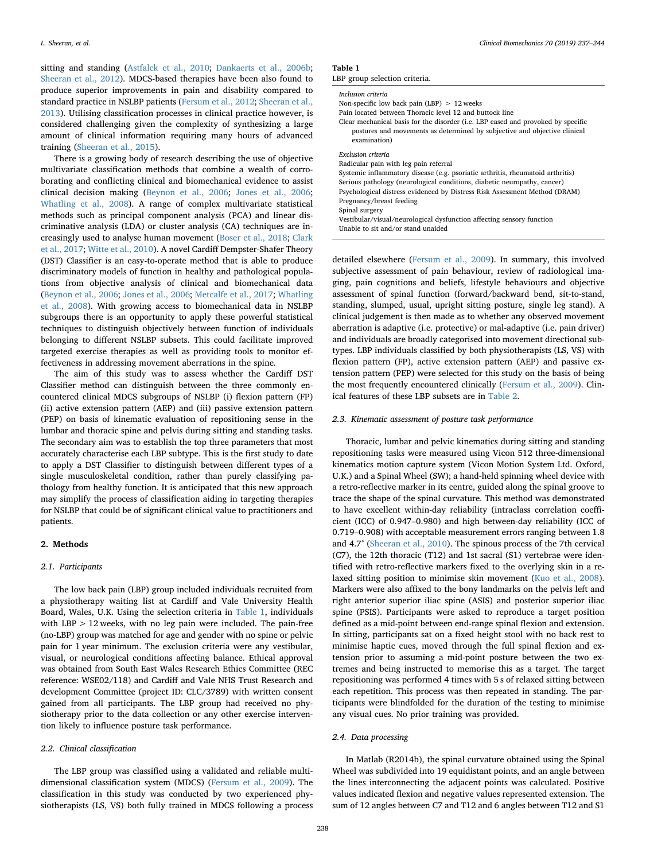sitting and standing ([Astfalck et al., 2010](#page-7-9); [Dankaerts et al., 2006b](#page-7-10); [Sheeran et al., 2012](#page-7-12)). MDCS-based therapies have been also found to produce superior improvements in pain and disability compared to standard practice in NSLBP patients ([Fersum et al., 2012;](#page-7-14) [Sheeran et al.,](#page-7-15) [2013\)](#page-7-15). Utilising classification processes in clinical practice however, is considered challenging given the complexity of synthesizing a large amount of clinical information requiring many hours of advanced training [\(Sheeran et al., 2015\)](#page-7-16).

There is a growing body of research describing the use of objective multivariate classification methods that combine a wealth of corroborating and conflicting clinical and biomechanical evidence to assist clinical decision making [\(Beynon et al., 2006;](#page-7-17) [Jones et al., 2006](#page-7-18); [Whatling et al., 2008\)](#page-7-19). A range of complex multivariate statistical methods such as principal component analysis (PCA) and linear discriminative analysis (LDA) or cluster analysis (CA) techniques are increasingly used to analyse human movement ([Boser et al., 2018](#page-7-20); [Clark](#page-7-21) [et al., 2017;](#page-7-21) [Witte et al., 2010](#page-7-22)). A novel Cardiff Dempster-Shafer Theory (DST) Classifier is an easy-to-operate method that is able to produce discriminatory models of function in healthy and pathological populations from objective analysis of clinical and biomechanical data ([Beynon et al., 2006;](#page-7-17) [Jones et al., 2006](#page-7-18); [Metcalfe et al., 2017;](#page-7-23) [Whatling](#page-7-19) [et al., 2008\)](#page-7-19). With growing access to biomechanical data in NSLBP subgroups there is an opportunity to apply these powerful statistical techniques to distinguish objectively between function of individuals belonging to different NSLBP subsets. This could facilitate improved targeted exercise therapies as well as providing tools to monitor effectiveness in addressing movement aberrations in the spine.

The aim of this study was to assess whether the Cardiff DST Classifier method can distinguish between the three commonly encountered clinical MDCS subgroups of NSLBP (i) flexion pattern (FP) (ii) active extension pattern (AEP) and (iii) passive extension pattern (PEP) on basis of kinematic evaluation of repositioning sense in the lumbar and thoracic spine and pelvis during sitting and standing tasks. The secondary aim was to establish the top three parameters that most accurately characterise each LBP subtype. This is the first study to date to apply a DST Classifier to distinguish between different types of a single musculoskeletal condition, rather than purely classifying pathology from healthy function. It is anticipated that this new approach may simplify the process of classification aiding in targeting therapies for NSLBP that could be of significant clinical value to practitioners and patients.

#### **2. Methods**

#### *2.1. Participants*

The low back pain (LBP) group included individuals recruited from a physiotherapy waiting list at Cardiff and Vale University Health Board, Wales, U.K. Using the selection criteria in [Table 1](#page-1-0), individuals with LBP > 12 weeks, with no leg pain were included. The pain-free (no-LBP) group was matched for age and gender with no spine or pelvic pain for 1 year minimum. The exclusion criteria were any vestibular, visual, or neurological conditions affecting balance. Ethical approval was obtained from South East Wales Research Ethics Committee (REC reference: WSE02/118) and Cardiff and Vale NHS Trust Research and development Committee (project ID: CLC/3789) with written consent gained from all participants. The LBP group had received no physiotherapy prior to the data collection or any other exercise intervention likely to influence posture task performance.

#### *2.2. Clinical classification*

The LBP group was classified using a validated and reliable multidimensional classification system (MDCS) ([Fersum et al., 2009\)](#page-7-24). The classification in this study was conducted by two experienced physiotherapists (LS, VS) both fully trained in MDCS following a process

# <span id="page-1-0"></span>**Table 1**

| Inclusion criteria                                                                                                                                                            |
|-------------------------------------------------------------------------------------------------------------------------------------------------------------------------------|
| Non-specific low back pain (LBP) $> 12$ weeks                                                                                                                                 |
| Pain located between Thoracic level 12 and buttock line                                                                                                                       |
| Clear mechanical basis for the disorder (i.e. LBP eased and provoked by specific<br>postures and movements as determined by subjective and objective clinical<br>examination) |
| Exclusion criteria                                                                                                                                                            |
| Radicular pain with leg pain referral                                                                                                                                         |
| Systemic inflammatory disease (e.g. psoriatic arthritis, rheumatoid arthritis)                                                                                                |
| Serious pathology (neurological conditions, diabetic neuropathy, cancer)                                                                                                      |
| Psychological distress evidenced by Distress Risk Assessment Method (DRAM)                                                                                                    |
| Pregnancy/breast feeding                                                                                                                                                      |
| Spinal surgery                                                                                                                                                                |
| Vestibular/visual/neurological dysfunction affecting sensory function                                                                                                         |
| Unable to sit and/or stand unaided                                                                                                                                            |

detailed elsewhere [\(Fersum et al., 2009\)](#page-7-24). In summary, this involved subjective assessment of pain behaviour, review of radiological imaging, pain cognitions and beliefs, lifestyle behaviours and objective assessment of spinal function (forward/backward bend, sit-to-stand, standing, slumped, usual, upright sitting posture, single leg stand). A clinical judgement is then made as to whether any observed movement aberration is adaptive (i.e. protective) or mal-adaptive (i.e. pain driver) and individuals are broadly categorised into movement directional subtypes. LBP individuals classified by both physiotherapists (LS, VS) with flexion pattern (FP), active extension pattern (AEP) and passive extension pattern (PEP) were selected for this study on the basis of being the most frequently encountered clinically [\(Fersum et al., 2009\)](#page-7-24). Clinical features of these LBP subsets are in [Table 2](#page-2-0).

## *2.3. Kinematic assessment of posture task performance*

Thoracic, lumbar and pelvic kinematics during sitting and standing repositioning tasks were measured using Vicon 512 three-dimensional kinematics motion capture system (Vicon Motion System Ltd. Oxford, U.K.) and a Spinal Wheel (SW); a hand-held spinning wheel device with a retro-reflective marker in its centre, guided along the spinal groove to trace the shape of the spinal curvature. This method was demonstrated to have excellent within-day reliability (intraclass correlation coefficient (ICC) of 0.947–0.980) and high between-day reliability (ICC of 0.719–0.908) with acceptable measurement errors ranging between 1.8 and 4.7° [\(Sheeran et al., 2010](#page-7-25)). The spinous process of the 7th cervical (C7), the 12th thoracic (T12) and 1st sacral (S1) vertebrae were identified with retro-reflective markers fixed to the overlying skin in a relaxed sitting position to minimise skin movement [\(Kuo et al., 2008](#page-7-26)). Markers were also affixed to the bony landmarks on the pelvis left and right anterior superior iliac spine (ASIS) and posterior superior iliac spine (PSIS). Participants were asked to reproduce a target position defined as a mid-point between end-range spinal flexion and extension. In sitting, participants sat on a fixed height stool with no back rest to minimise haptic cues, moved through the full spinal flexion and extension prior to assuming a mid-point posture between the two extremes and being instructed to memorise this as a target. The target repositioning was performed 4 times with 5 s of relaxed sitting between each repetition. This process was then repeated in standing. The participants were blindfolded for the duration of the testing to minimise any visual cues. No prior training was provided.

# *2.4. Data processing*

In Matlab (R2014b), the spinal curvature obtained using the Spinal Wheel was subdivided into 19 equidistant points, and an angle between the lines interconnecting the adjacent points was calculated. Positive values indicated flexion and negative values represented extension. The sum of 12 angles between C7 and T12 and 6 angles between T12 and S1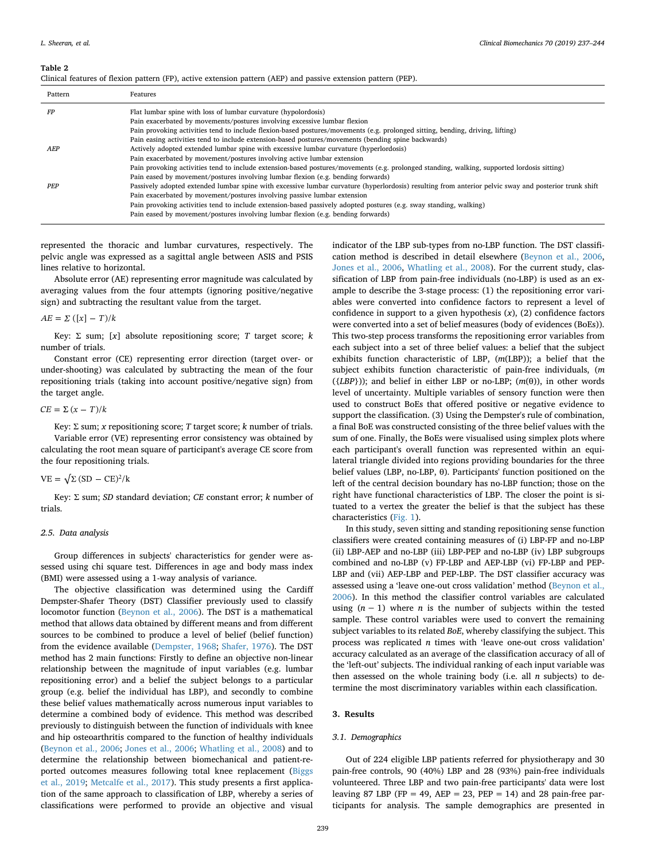#### <span id="page-2-0"></span>**Table 2**

|  |  |  |  |  |  |  |  |  |  |  |  |  |  | Clinical features of flexion pattern (FP), active extension pattern (AEP) and passive extension pattern (PEP). |  |  |  |
|--|--|--|--|--|--|--|--|--|--|--|--|--|--|----------------------------------------------------------------------------------------------------------------|--|--|--|
|--|--|--|--|--|--|--|--|--|--|--|--|--|--|----------------------------------------------------------------------------------------------------------------|--|--|--|

| Pattern    | Features                                                                                                                                              |
|------------|-------------------------------------------------------------------------------------------------------------------------------------------------------|
| FP         | Flat lumbar spine with loss of lumbar curvature (hypolordosis)                                                                                        |
|            | Pain exacerbated by movements/postures involving excessive lumbar flexion                                                                             |
|            | Pain provoking activities tend to include flexion-based postures/movements (e.g. prolonged sitting, bending, driving, lifting)                        |
|            | Pain easing activities tend to include extension-based postures/movements (bending spine backwards)                                                   |
| AEP        | Actively adopted extended lumbar spine with excessive lumbar curvature (hyperlordosis)                                                                |
|            | Pain exacerbated by movement/postures involving active lumbar extension                                                                               |
|            | Pain provoking activities tend to include extension-based postures/movements (e.g. prolonged standing, walking, supported lordosis sitting)           |
|            | Pain eased by movement/postures involving lumbar flexion (e.g. bending forwards)                                                                      |
| <b>PFP</b> | Passively adopted extended lumbar spine with excessive lumbar curvature (hyperlordosis) resulting from anterior pelvic sway and posterior trunk shift |
|            | Pain exacerbated by movement/postures involving passive lumbar extension                                                                              |
|            | Pain provoking activities tend to include extension-based passively adopted postures (e.g. sway standing, walking)                                    |
|            | Pain eased by movement/postures involving lumbar flexion (e.g. bending forwards)                                                                      |
|            |                                                                                                                                                       |

represented the thoracic and lumbar curvatures, respectively. The pelvic angle was expressed as a sagittal angle between ASIS and PSIS lines relative to horizontal.

Absolute error (AE) representing error magnitude was calculated by averaging values from the four attempts (ignoring positive/negative sign) and subtracting the resultant value from the target.

$$
AE = \Sigma ([x] - T)/k
$$

Key: Σ sum; [*x*] absolute repositioning score; *T* target score; *k* number of trials.

Constant error (CE) representing error direction (target over- or under-shooting) was calculated by subtracting the mean of the four repositioning trials (taking into account positive/negative sign) from the target angle.

$$
CE = \sum (x - T)/k
$$

Key: Σ sum; *x* repositioning score; *T* target score; *k* number of trials. Variable error (VE) representing error consistency was obtained by calculating the root mean square of participant's average CE score from the four repositioning trials.

$$
VE = \sqrt{\Sigma (SD - CE)^2 / k}
$$

Key: Σ sum; *SD* standard deviation; *CE* constant error; *k* number of trials.

#### *2.5. Data analysis*

Group differences in subjects' characteristics for gender were assessed using chi square test. Differences in age and body mass index (BMI) were assessed using a 1-way analysis of variance.

The objective classification was determined using the Cardiff Dempster-Shafer Theory (DST) Classifier previously used to classify locomotor function [\(Beynon et al., 2006\)](#page-7-17). The DST is a mathematical method that allows data obtained by different means and from different sources to be combined to produce a level of belief (belief function) from the evidence available ([Dempster, 1968;](#page-7-27) [Shafer, 1976](#page-7-28)). The DST method has 2 main functions: Firstly to define an objective non-linear relationship between the magnitude of input variables (e.g. lumbar repositioning error) and a belief the subject belongs to a particular group (e.g. belief the individual has LBP), and secondly to combine these belief values mathematically across numerous input variables to determine a combined body of evidence. This method was described previously to distinguish between the function of individuals with knee and hip osteoarthritis compared to the function of healthy individuals ([Beynon et al., 2006;](#page-7-17) [Jones et al., 2006](#page-7-18); [Whatling et al., 2008](#page-7-19)) and to determine the relationship between biomechanical and patient-reported outcomes measures following total knee replacement ([Biggs](#page-7-29) [et al., 2019;](#page-7-29) [Metcalfe et al., 2017\)](#page-7-23). This study presents a first application of the same approach to classification of LBP, whereby a series of classifications were performed to provide an objective and visual

indicator of the LBP sub-types from no-LBP function. The DST classification method is described in detail elsewhere [\(Beynon et al., 2006](#page-7-17), [Jones et al., 2006,](#page-7-18) [Whatling et al., 2008](#page-7-19)). For the current study, classification of LBP from pain-free individuals (no-LBP) is used as an example to describe the 3-stage process: (1) the repositioning error variables were converted into confidence factors to represent a level of confidence in support to a given hypothesis  $(x)$ ,  $(2)$  confidence factors were converted into a set of belief measures (body of evidences (BoEs)). This two-step process transforms the repositioning error variables from each subject into a set of three belief values: a belief that the subject exhibits function characteristic of LBP, (*m*(LBP)); a belief that the subject exhibits function characteristic of pain-free individuals, (*m* ({*LBP*})); and belief in either LBP or no-LBP; (*m*(θ)), in other words level of uncertainty. Multiple variables of sensory function were then used to construct BoEs that offered positive or negative evidence to support the classification. (3) Using the Dempster's rule of combination, a final BoE was constructed consisting of the three belief values with the sum of one. Finally, the BoEs were visualised using simplex plots where each participant's overall function was represented within an equilateral triangle divided into regions providing boundaries for the three belief values (LBP, no-LBP, θ). Participants' function positioned on the left of the central decision boundary has no-LBP function; those on the right have functional characteristics of LBP. The closer the point is situated to a vertex the greater the belief is that the subject has these characteristics ([Fig. 1](#page-3-0)).

In this study, seven sitting and standing repositioning sense function classifiers were created containing measures of (i) LBP-FP and no-LBP (ii) LBP-AEP and no-LBP (iii) LBP-PEP and no-LBP (iv) LBP subgroups combined and no-LBP (v) FP-LBP and AEP-LBP (vi) FP-LBP and PEP-LBP and (vii) AEP-LBP and PEP-LBP. The DST classifier accuracy was assessed using a 'leave one-out cross validation' method [\(Beynon et al.,](#page-7-17) [2006\)](#page-7-17). In this method the classifier control variables are calculated using  $(n - 1)$  where *n* is the number of subjects within the tested sample. These control variables were used to convert the remaining subject variables to its related *BoE*, whereby classifying the subject. This process was replicated *n* times with 'leave one-out cross validation' accuracy calculated as an average of the classification accuracy of all of the 'left-out' subjects. The individual ranking of each input variable was then assessed on the whole training body (i.e. all *n* subjects) to determine the most discriminatory variables within each classification.

# **3. Results**

# *3.1. Demographics*

Out of 224 eligible LBP patients referred for physiotherapy and 30 pain-free controls, 90 (40%) LBP and 28 (93%) pain-free individuals volunteered. Three LBP and two pain-free participants' data were lost leaving 87 LBP (FP = 49, AEP = 23, PEP = 14) and 28 pain-free participants for analysis. The sample demographics are presented in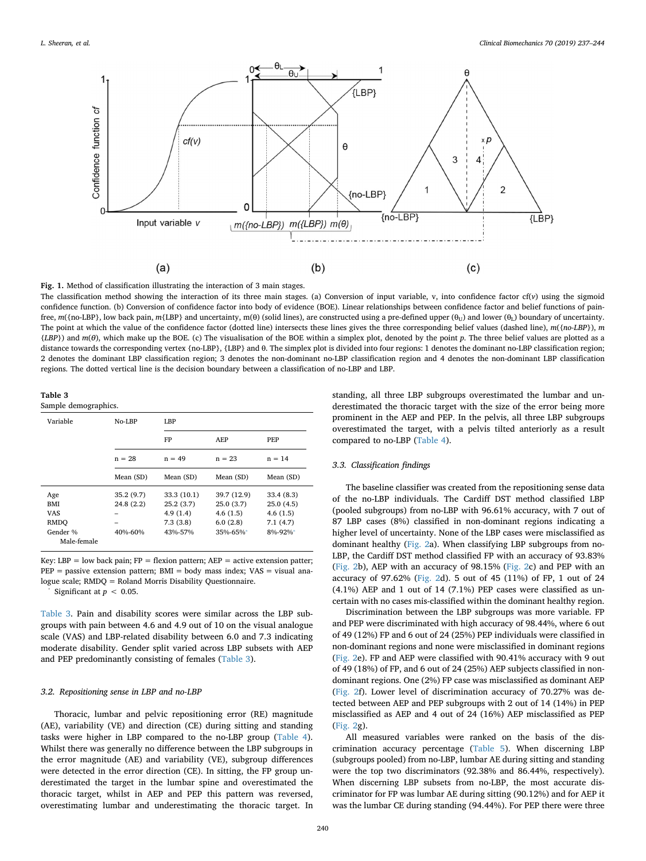<span id="page-3-0"></span>

**Fig. 1.** Method of classification illustrating the interaction of 3 main stages.

The classification method showing the interaction of its three main stages. (a) Conversion of input variable,  $v$ , into confidence factor cf( $v$ ) using the sigmoid confidence function. (b) Conversion of confidence factor into body of evidence (BOE). Linear relationships between confidence factor and belief functions of painfree,  $m({no-LEP}$ , low back pain,  $m({LBP}$  and uncertainty, m(θ) (solid lines), are constructed using a pre-defined upper (θ<sub>U</sub>) and lower (θ<sub>L</sub>) boundary of uncertainty. The point at which the value of the confidence factor (dotted line) intersects these lines gives the three corresponding belief values (dashed line), *m*({*no-LBP*}), *m* {*LBP*}) and *m*(*θ*), which make up the BOE. (c) The visualisation of the BOE within a simplex plot, denoted by the point *p*. The three belief values are plotted as a distance towards the corresponding vertex {no-LBP}, {LBP} and θ. The simplex plot is divided into four regions: 1 denotes the dominant no-LBP classification region; 2 denotes the dominant LBP classification region; 3 denotes the non-dominant no-LBP classification region and 4 denotes the non-dominant LBP classification regions. The dotted vertical line is the decision boundary between a classification of no-LBP and LBP.

<span id="page-3-1"></span>**Table 3**

Sample demographics.

| Variable                | $No-I.BP$ | LBP         |             |            |  |  |  |  |
|-------------------------|-----------|-------------|-------------|------------|--|--|--|--|
|                         |           | FP          | AEP         | <b>PEP</b> |  |  |  |  |
|                         | $n = 28$  | $n = 49$    | $n = 23$    | $n = 14$   |  |  |  |  |
|                         | Mean (SD) | Mean (SD)   | Mean (SD)   | Mean (SD)  |  |  |  |  |
| Age                     | 35.2(9.7) | 33.3 (10.1) | 39.7 (12.9) | 33.4(8.3)  |  |  |  |  |
| <b>BMI</b>              | 24.8(2.2) | 25.2(3.7)   | 25.0(3.7)   | 25.0(4.5)  |  |  |  |  |
| <b>VAS</b>              |           | 4.9(1.4)    | 4.6(1.5)    | 4.6(1.5)   |  |  |  |  |
| <b>RMDO</b>             | -         | 7.3(3.8)    | 6.0(2.8)    | 7.1(4.7)   |  |  |  |  |
| Gender %<br>Male-female | 40%-60%   | 43%-57%     | $35% - 65%$ | 8%-92%*    |  |  |  |  |

Key: LBP = low back pain;  $FP =$  flexion pattern;  $AEP =$  active extension patter;  $PEP =$  passive extension pattern;  $BMI =$  body mass index;  $VAS =$  visual analogue scale; RMDQ = Roland Morris Disability Questionnaire. ⁎

<span id="page-3-2"></span>Significant at  $p < 0.05$ .

[Table 3](#page-3-1). Pain and disability scores were similar across the LBP subgroups with pain between 4.6 and 4.9 out of 10 on the visual analogue scale (VAS) and LBP-related disability between 6.0 and 7.3 indicating moderate disability. Gender split varied across LBP subsets with AEP and PEP predominantly consisting of females [\(Table 3\)](#page-3-1).

#### *3.2. Repositioning sense in LBP and no-LBP*

Thoracic, lumbar and pelvic repositioning error (RE) magnitude (AE), variability (VE) and direction (CE) during sitting and standing tasks were higher in LBP compared to the no-LBP group ([Table 4](#page-4-0)). Whilst there was generally no difference between the LBP subgroups in the error magnitude (AE) and variability (VE), subgroup differences were detected in the error direction (CE). In sitting, the FP group underestimated the target in the lumbar spine and overestimated the thoracic target, whilst in AEP and PEP this pattern was reversed, overestimating lumbar and underestimating the thoracic target. In standing, all three LBP subgroups overestimated the lumbar and underestimated the thoracic target with the size of the error being more prominent in the AEP and PEP. In the pelvis, all three LBP subgroups overestimated the target, with a pelvis tilted anteriorly as a result compared to no-LBP ([Table 4](#page-4-0)).

# *3.3. Classification findings*

The baseline classifier was created from the repositioning sense data of the no-LBP individuals. The Cardiff DST method classified LBP (pooled subgroups) from no-LBP with 96.61% accuracy, with 7 out of 87 LBP cases (8%) classified in non-dominant regions indicating a higher level of uncertainty. None of the LBP cases were misclassified as dominant healthy ([Fig. 2](#page-5-0)a). When classifying LBP subgroups from no-LBP, the Cardiff DST method classified FP with an accuracy of 93.83% ([Fig. 2](#page-5-0)b), AEP with an accuracy of 98.15% [\(Fig. 2c](#page-5-0)) and PEP with an accuracy of 97.62% [\(Fig. 2](#page-5-0)d). 5 out of 45 (11%) of FP, 1 out of 24 (4.1%) AEP and 1 out of 14 (7.1%) PEP cases were classified as uncertain with no cases mis-classified within the dominant healthy region.

Discrimination between the LBP subgroups was more variable. FP and PEP were discriminated with high accuracy of 98.44%, where 6 out of 49 (12%) FP and 6 out of 24 (25%) PEP individuals were classified in non-dominant regions and none were misclassified in dominant regions ([Fig. 2e](#page-5-0)). FP and AEP were classified with 90.41% accuracy with 9 out of 49 (18%) of FP, and 6 out of 24 (25%) AEP subjects classified in nondominant regions. One (2%) FP case was misclassified as dominant AEP ([Fig. 2f](#page-5-0)). Lower level of discrimination accuracy of 70.27% was detected between AEP and PEP subgroups with 2 out of 14 (14%) in PEP misclassified as AEP and 4 out of 24 (16%) AEP misclassified as PEP ([Fig. 2g](#page-5-0)).

All measured variables were ranked on the basis of the discrimination accuracy percentage [\(Table 5\)](#page-6-0). When discerning LBP (subgroups pooled) from no-LBP, lumbar AE during sitting and standing were the top two discriminators (92.38% and 86.44%, respectively). When discerning LBP subsets from no-LBP, the most accurate discriminator for FP was lumbar AE during sitting (90.12%) and for AEP it was the lumbar CE during standing (94.44%). For PEP there were three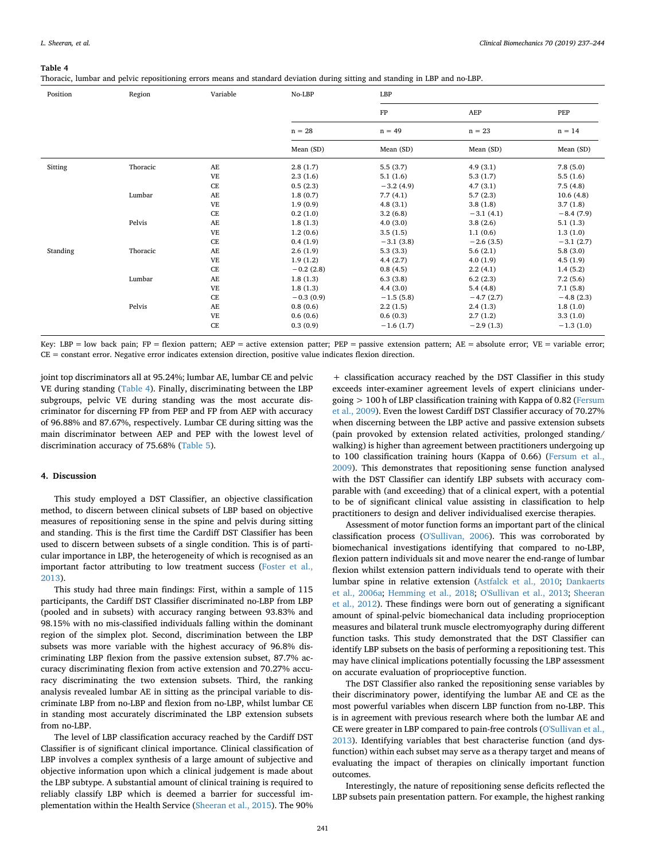#### <span id="page-4-0"></span>**Table 4**

Thoracic, lumbar and pelvic repositioning errors means and standard deviation during sitting and standing in LBP and no-LBP.

| Position | Region   | Variable            | No-LBP      | LBP         |             |             |  |  |  |
|----------|----------|---------------------|-------------|-------------|-------------|-------------|--|--|--|
|          |          |                     |             | FP          | AEP         | PEP         |  |  |  |
|          |          |                     | $n = 28$    | $n = 49$    | $n = 23$    | $n = 14$    |  |  |  |
|          |          |                     | Mean (SD)   | Mean (SD)   | Mean (SD)   | Mean (SD)   |  |  |  |
| Sitting  | Thoracic | AE                  | 2.8(1.7)    | 5.5(3.7)    | 4.9(3.1)    | 7.8(5.0)    |  |  |  |
|          |          | <b>VE</b>           | 2.3(1.6)    | 5.1(1.6)    | 5.3(1.7)    | 5.5(1.6)    |  |  |  |
|          |          | $\rm CE$            | 0.5(2.3)    | $-3.2(4.9)$ | 4.7(3.1)    | 7.5(4.8)    |  |  |  |
|          | Lumbar   | AE                  | 1.8(0.7)    | 7.7(4.1)    | 5.7(2.3)    | 10.6(4.8)   |  |  |  |
|          |          | <b>VE</b>           | 1.9(0.9)    | 4.8(3.1)    | 3.8(1.8)    | 3.7(1.8)    |  |  |  |
|          |          | CE                  | 0.2(1.0)    | 3.2(6.8)    | $-3.1(4.1)$ | $-8.4(7.9)$ |  |  |  |
|          | Pelvis   | AE                  | 1.8(1.3)    | 4.0(3.0)    | 3.8(2.6)    | 5.1(1.3)    |  |  |  |
|          |          | <b>VE</b>           | 1.2(0.6)    | 3.5(1.5)    | 1.1(0.6)    | 1.3(1.0)    |  |  |  |
|          |          | $\rm CE$            | 0.4(1.9)    | $-3.1(3.8)$ | $-2.6(3.5)$ | $-3.1(2.7)$ |  |  |  |
| Standing | Thoracic | AE                  | 2.6(1.9)    | 5.3(3.3)    | 5.6(2.1)    | 5.8(3.0)    |  |  |  |
|          |          | <b>VE</b>           | 1.9(1.2)    | 4.4(2.7)    | 4.0(1.9)    | 4.5(1.9)    |  |  |  |
|          |          | CE                  | $-0.2(2.8)$ | 0.8(4.5)    | 2.2(4.1)    | 1.4(5.2)    |  |  |  |
|          | Lumbar   | AE                  | 1.8(1.3)    | 6.3(3.8)    | 6.2(2.3)    | 7.2(5.6)    |  |  |  |
|          |          | <b>VE</b>           | 1.8(1.3)    | 4.4(3.0)    | 5.4(4.8)    | 7.1(5.8)    |  |  |  |
|          |          | CE                  | $-0.3(0.9)$ | $-1.5(5.8)$ | $-4.7(2.7)$ | $-4.8(2.3)$ |  |  |  |
|          | Pelvis   | AE                  | 0.8(0.6)    | 2.2(1.5)    | 2.4(1.3)    | 1.8(1.0)    |  |  |  |
|          |          | <b>VE</b>           | 0.6(0.6)    | 0.6(0.3)    | 2.7(1.2)    | 3.3(1.0)    |  |  |  |
|          |          | $\operatorname{CE}$ | 0.3(0.9)    | $-1.6(1.7)$ | $-2.9(1.3)$ | $-1.3(1.0)$ |  |  |  |

Key: LBP = low back pain; FP = flexion pattern; AEP = active extension patter; PEP = passive extension pattern; AE = absolute error; VE = variable error; CE = constant error. Negative error indicates extension direction, positive value indicates flexion direction.

joint top discriminators all at 95.24%; lumbar AE, lumbar CE and pelvic VE during standing ([Table 4](#page-4-0)). Finally, discriminating between the LBP subgroups, pelvic VE during standing was the most accurate discriminator for discerning FP from PEP and FP from AEP with accuracy of 96.88% and 87.67%, respectively. Lumbar CE during sitting was the main discriminator between AEP and PEP with the lowest level of discrimination accuracy of 75.68% [\(Table 5](#page-6-0)).

#### **4. Discussion**

This study employed a DST Classifier, an objective classification method, to discern between clinical subsets of LBP based on objective measures of repositioning sense in the spine and pelvis during sitting and standing. This is the first time the Cardiff DST Classifier has been used to discern between subsets of a single condition. This is of particular importance in LBP, the heterogeneity of which is recognised as an important factor attributing to low treatment success ([Foster et al.,](#page-7-30) [2013\)](#page-7-30).

This study had three main findings: First, within a sample of 115 participants, the Cardiff DST Classifier discriminated no-LBP from LBP (pooled and in subsets) with accuracy ranging between 93.83% and 98.15% with no mis-classified individuals falling within the dominant region of the simplex plot. Second, discrimination between the LBP subsets was more variable with the highest accuracy of 96.8% discriminating LBP flexion from the passive extension subset, 87.7% accuracy discriminating flexion from active extension and 70.27% accuracy discriminating the two extension subsets. Third, the ranking analysis revealed lumbar AE in sitting as the principal variable to discriminate LBP from no-LBP and flexion from no-LBP, whilst lumbar CE in standing most accurately discriminated the LBP extension subsets from no-LBP.

The level of LBP classification accuracy reached by the Cardiff DST Classifier is of significant clinical importance. Clinical classification of LBP involves a complex synthesis of a large amount of subjective and objective information upon which a clinical judgement is made about the LBP subtype. A substantial amount of clinical training is required to reliably classify LBP which is deemed a barrier for successful implementation within the Health Service ([Sheeran et al., 2015](#page-7-16)). The 90%

+ classification accuracy reached by the DST Classifier in this study exceeds inter-examiner agreement levels of expert clinicians undergoing > 100 h of LBP classification training with Kappa of 0.82 ([Fersum](#page-7-24) [et al., 2009](#page-7-24)). Even the lowest Cardiff DST Classifier accuracy of 70.27% when discerning between the LBP active and passive extension subsets (pain provoked by extension related activities, prolonged standing/ walking) is higher than agreement between practitioners undergoing up to 100 classification training hours (Kappa of 0.66) [\(Fersum et al.,](#page-7-24) [2009\)](#page-7-24). This demonstrates that repositioning sense function analysed with the DST Classifier can identify LBP subsets with accuracy comparable with (and exceeding) that of a clinical expert, with a potential to be of significant clinical value assisting in classification to help practitioners to design and deliver individualised exercise therapies.

Assessment of motor function forms an important part of the clinical classification process [\(O'Sullivan, 2006](#page-7-13)). This was corroborated by biomechanical investigations identifying that compared to no-LBP, flexion pattern individuals sit and move nearer the end-range of lumbar flexion whilst extension pattern individuals tend to operate with their lumbar spine in relative extension [\(Astfalck et al., 2010](#page-7-9); [Dankaerts](#page-7-31) [et al., 2006a;](#page-7-31) [Hemming et al., 2018;](#page-7-32) [O'Sullivan et al., 2013;](#page-7-33) [Sheeran](#page-7-12) [et al., 2012\)](#page-7-12). These findings were born out of generating a significant amount of spinal-pelvic biomechanical data including proprioception measures and bilateral trunk muscle electromyography during different function tasks. This study demonstrated that the DST Classifier can identify LBP subsets on the basis of performing a repositioning test. This may have clinical implications potentially focussing the LBP assessment on accurate evaluation of proprioceptive function.

The DST Classifier also ranked the repositioning sense variables by their discriminatory power, identifying the lumbar AE and CE as the most powerful variables when discern LBP function from no-LBP. This is in agreement with previous research where both the lumbar AE and CE were greater in LBP compared to pain-free controls ([O'Sullivan et al.,](#page-7-33) [2013\)](#page-7-33). Identifying variables that best characterise function (and dysfunction) within each subset may serve as a therapy target and means of evaluating the impact of therapies on clinically important function outcomes.

Interestingly, the nature of repositioning sense deficits reflected the LBP subsets pain presentation pattern. For example, the highest ranking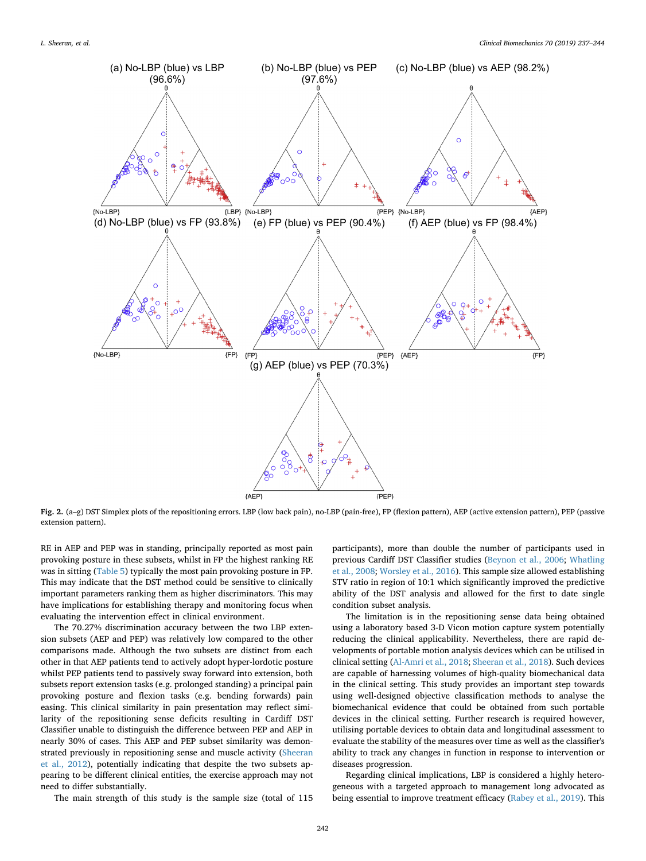<span id="page-5-0"></span>

**Fig. 2.** (a–g) DST Simplex plots of the repositioning errors. LBP (low back pain), no-LBP (pain-free), FP (flexion pattern), AEP (active extension pattern), PEP (passive extension pattern).

RE in AEP and PEP was in standing, principally reported as most pain provoking posture in these subsets, whilst in FP the highest ranking RE was in sitting [\(Table 5](#page-6-0)) typically the most pain provoking posture in FP. This may indicate that the DST method could be sensitive to clinically important parameters ranking them as higher discriminators. This may have implications for establishing therapy and monitoring focus when evaluating the intervention effect in clinical environment.

The 70.27% discrimination accuracy between the two LBP extension subsets (AEP and PEP) was relatively low compared to the other comparisons made. Although the two subsets are distinct from each other in that AEP patients tend to actively adopt hyper-lordotic posture whilst PEP patients tend to passively sway forward into extension, both subsets report extension tasks (e.g. prolonged standing) a principal pain provoking posture and flexion tasks (e.g. bending forwards) pain easing. This clinical similarity in pain presentation may reflect similarity of the repositioning sense deficits resulting in Cardiff DST Classifier unable to distinguish the difference between PEP and AEP in nearly 30% of cases. This AEP and PEP subset similarity was demonstrated previously in repositioning sense and muscle activity [\(Sheeran](#page-7-12) [et al., 2012\)](#page-7-12), potentially indicating that despite the two subsets appearing to be different clinical entities, the exercise approach may not need to differ substantially.

The main strength of this study is the sample size (total of 115

participants), more than double the number of participants used in previous Cardiff DST Classifier studies ([Beynon et al., 2006](#page-7-17); [Whatling](#page-7-19) [et al., 2008;](#page-7-19) [Worsley et al., 2016](#page-7-34)). This sample size allowed establishing STV ratio in region of 10:1 which significantly improved the predictive ability of the DST analysis and allowed for the first to date single condition subset analysis.

The limitation is in the repositioning sense data being obtained using a laboratory based 3-D Vicon motion capture system potentially reducing the clinical applicability. Nevertheless, there are rapid developments of portable motion analysis devices which can be utilised in clinical setting ([Al-Amri et al., 2018;](#page-7-35) [Sheeran et al., 2018\)](#page-7-36). Such devices are capable of harnessing volumes of high-quality biomechanical data in the clinical setting. This study provides an important step towards using well-designed objective classification methods to analyse the biomechanical evidence that could be obtained from such portable devices in the clinical setting. Further research is required however, utilising portable devices to obtain data and longitudinal assessment to evaluate the stability of the measures over time as well as the classifier's ability to track any changes in function in response to intervention or diseases progression.

Regarding clinical implications, LBP is considered a highly heterogeneous with a targeted approach to management long advocated as being essential to improve treatment efficacy [\(Rabey et al., 2019](#page-7-37)). This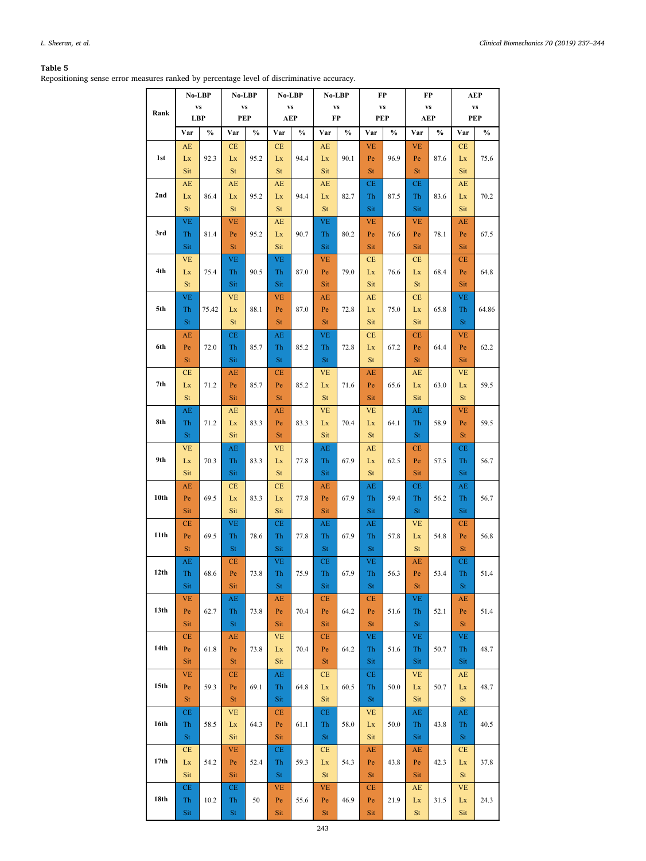# <span id="page-6-0"></span>**Table 5**

Repositioning sense error measures ranked by percentage level of discriminative accuracy.

|                  |                               | No-LBP        | No-LBP              |               | No-LBP           |               | No-LBP              |               | FP                     |      | FP                            |      | AEP                           |       |
|------------------|-------------------------------|---------------|---------------------|---------------|------------------|---------------|---------------------|---------------|------------------------|------|-------------------------------|------|-------------------------------|-------|
| Rank             |                               | VS            | <b>VS</b><br>PEP    |               | <b>VS</b><br>AEP |               | <b>VS</b><br>FP     |               | $\mathbf{v}\mathbf{s}$ |      | $\mathbf{v}\mathbf{s}$<br>AEP |      | $\mathbf{v}\mathbf{s}$<br>PEP |       |
|                  |                               | <b>LBP</b>    |                     |               |                  |               |                     |               |                        | PEP  |                               |      |                               |       |
|                  | Var<br>$\mathbf{A}\mathbf{E}$ | $\frac{0}{0}$ | Var<br>CE           | $\frac{0}{0}$ | Var<br>CE        | $\frac{0}{0}$ | Var<br>AE           | $\frac{0}{0}$ | Var<br><b>VE</b>       | $\%$ | Var<br><b>VE</b>              | $\%$ | Var<br>$\!$ $\!$              | $\%$  |
| 1st              | Lx                            | 92.3          | Lx                  | 95.2          | Lx               | 94.4          | Lx                  | 90.1          | Pe                     | 96.9 | Pe                            | 87.6 | Lx                            | 75.6  |
|                  | Sit                           |               | <b>St</b>           |               | <b>St</b>        |               | Sit                 |               | St                     |      | <b>St</b>                     |      | Sit                           |       |
|                  | AE                            |               | AE                  |               | AE               |               | AE                  |               | CE                     |      | CE                            |      | AE                            |       |
| 2nd              | Lx                            | 86.4          | Lx                  | 95.2          | Lx               | 94.4          | Lx                  | 82.7          | Th                     | 87.5 | Th                            | 83.6 | Lx                            | 70.2  |
|                  | St                            |               | St                  |               | St               |               | St                  |               | Sit                    |      | Sit                           |      | Sit                           |       |
|                  | <b>VE</b>                     |               | <b>VE</b>           |               | AE               |               | <b>VE</b>           |               | <b>VE</b>              |      | <b>VE</b>                     |      | AE                            |       |
| 3rd              | Th                            | 81.4          | Pe                  | 95.2          | Lx               | 90.7          | Th                  | 80.2          | Pe                     | 76.6 | Pe                            | 78.1 | Pe                            | 67.5  |
|                  | Sit                           |               | St                  |               | Sit              |               | Sit                 |               | Sit                    |      | Sit                           |      | Sit                           |       |
|                  | <b>VE</b>                     |               | <b>VE</b>           |               | <b>VE</b>        |               | <b>VE</b>           |               | CE                     |      | CE                            |      | CE                            |       |
| 4th              | Lx                            | 75.4          | Th                  | 90.5          | Th               | 87.0          | Pe                  | 79.0          | Lx                     | 76.6 | Lx                            | 68.4 | Pe                            | 64.8  |
|                  | <b>St</b>                     |               | Sit                 |               | Sit              |               | Sit                 |               | Sit                    |      | St                            |      | Sit                           |       |
| 5th              | <b>VE</b><br>Th               | 75.42         | <b>VE</b><br>Lx     | 88.1          | <b>VE</b><br>Pe  | 87.0          | AE<br>Pe            | 72.8          | AE<br>Lx               | 75.0 | CE<br>Lx                      | 65.8 | <b>VE</b><br>Th               | 64.86 |
|                  | St                            |               | St                  |               | St               |               | St                  |               | Sit                    |      | Sit                           |      | St                            |       |
|                  | AE                            |               | CE                  |               | AE               |               | <b>VE</b>           |               | CE                     |      | CE                            |      | <b>VE</b>                     |       |
| 6th              | Pe                            | 72.0          | Th                  | 85.7          | Th               | 85.2          | Th                  | 72.8          | Lx                     | 67.2 | Pe                            | 64.4 | Pe                            | 62.2  |
|                  | <b>St</b>                     |               | Sit                 |               | St               |               | St                  |               | <b>St</b>              |      | <b>St</b>                     |      | Sit                           |       |
|                  | <b>CE</b>                     |               | AE                  |               | СE               |               | <b>VE</b>           |               | AE                     |      | AE                            |      | <b>VE</b>                     |       |
| 7th              | Lx                            | 71.2          | Pe                  | 85.7          | Pe               | 85.2          | Lx                  | 71.6          | Pe                     | 65.6 | Lx                            | 63.0 | Lx                            | 59.5  |
|                  | St                            |               | Sit                 |               | St               |               | St                  |               | Sit                    |      | Sit                           |      | St                            |       |
|                  | AE                            |               | AE                  |               | AE               |               | <b>VE</b>           |               | <b>VE</b>              |      | AE                            |      | <b>VE</b>                     |       |
| 8th              | Th                            | 71.2          | Lx                  | 83.3          | Pe               | 83.3          | Lx                  | 70.4          | Lx                     | 64.1 | Th                            | 58.9 | Pe                            | 59.5  |
|                  | St                            |               | Sit                 |               | St               |               | Sit                 |               | St                     |      | St                            |      | St                            |       |
| 9th              | <b>VE</b>                     |               | AE                  |               | <b>VE</b>        |               | AE                  |               | AE                     |      | CE                            |      | CE                            |       |
|                  | Lx<br>Sit                     | 70.3          | Th                  | 83.3          | Lx               | 77.8          | Th                  | 67.9          | Lx<br><b>St</b>        | 62.5 | Pe<br>Sit                     | 57.5 | Th                            | 56.7  |
|                  | AE                            |               | Sit<br><b>CE</b>    |               | <b>St</b><br>СE  |               | Sit<br>AE           |               | AE                     |      | CE                            |      | Sit<br>AE                     |       |
| 10th             | Pe                            | 69.5          | Lx                  | 83.3          | Lx               | 77.8          | Pe                  | 67.9          | Th                     | 59.4 | Th                            | 56.2 | Th                            | 56.7  |
|                  | Sit                           |               | Sit                 |               | Sit              |               | Sit                 |               | Sit                    |      | St                            |      | Sit                           |       |
|                  | CE                            |               | VE                  |               | CE               |               | AE                  |               | AE                     |      | <b>VE</b>                     |      | CE                            |       |
| 11th             | Pe                            | 69.5          | Th                  | 78.6          | Th               | 77.8          | Th                  | 67.9          | Th                     | 57.8 | Lx                            | 54.8 | Pe                            | 56.8  |
|                  | <b>St</b>                     |               | St                  |               | Sit              |               | St                  |               | St                     |      | <b>St</b>                     |      | <b>St</b>                     |       |
|                  | AE                            |               | СE                  |               | <b>VE</b>        |               | СE                  |               | VE                     |      | AE                            |      | CE                            |       |
| 12th             | Th                            | 68.6          | Pe                  | 73.8          | Th               | 75.9          | Th                  | 67.9          | Th                     | 56.3 | Pe                            | 53.4 | Th                            | 51.4  |
|                  | Sit                           |               | Sit                 |               | <b>St</b>        |               | Sit                 |               | St                     |      | <b>St</b>                     |      | St                            |       |
| 13 <sub>th</sub> | ${\rm VE}$                    |               | AE                  |               | AE               |               | CE                  |               | CE                     |      | <b>VE</b>                     |      | AE                            |       |
|                  | Pe<br>Sit                     | 62.7          | Th<br><b>St</b>     | 73.8          | Pe<br>Sit        | 70.4          | Pe<br>Sit           | 64.2          | Pe<br>St               | 51.6 | Th<br><b>St</b>               | 52.1 | Pe<br><b>St</b>               | 51.4  |
|                  | CE                            |               | AE                  |               | <b>VE</b>        |               | CE                  |               | <b>VE</b>              |      | <b>VE</b>                     |      | $\rm{VE}$                     |       |
| 14th             | Pe                            | 61.8          | Pe                  | 73.8          | Lx               | 70.4          | Pe                  | 64.2          | Th                     | 51.6 | Th                            | 50.7 | Th                            | 48.7  |
|                  | Sit                           |               | <b>St</b>           |               | Sit              |               | St                  |               | Sit                    |      | Sit                           |      | Sit                           |       |
|                  | ${\rm VE}$                    |               | CE                  |               | AE               |               | CE                  |               | CE                     |      | ${\rm VE}$                    |      | AE                            |       |
| 15 <sub>th</sub> | Pe                            | 59.3          | Pe                  | 69.1          | Th               | 64.8          | Lx                  | 60.5          | Th                     | 50.0 | Lx                            | 50.7 | Lx                            | 48.7  |
|                  | <b>St</b>                     |               | <b>St</b>           |               | Sit              |               | Sit                 |               | <b>St</b>              |      | Sit                           |      | St                            |       |
|                  | $\!$ $\!$                     |               | <b>VE</b>           |               | CE               |               | $\!$ $\!$           |               | <b>VE</b>              |      | AE                            |      | AE                            |       |
| 16th             | Th                            | 58.5          | Lx                  | 64.3          | Pe               | 61.1          | Th                  | 58.0          | Lx                     | 50.0 | Th                            | 43.8 | Th                            | 40.5  |
|                  | St                            |               | Sit                 |               | Sit              |               | $\operatorname{St}$ |               | Sit                    |      | Sit                           |      | St                            |       |
|                  | CE                            |               | <b>VE</b>           |               | CE               |               | CE                  |               | AE                     |      | AE                            |      | CE                            |       |
| 17th             | Lx                            | 54.2          | Pe                  | 52.4          | Th               | 59.3          | Lx                  | 54.3          | Pe                     | 43.8 | Pe                            | 42.3 | Lx                            | 37.8  |
|                  | Sit<br>CE                     |               | Sit<br>CE           |               | St<br><b>VE</b>  |               | St<br><b>VE</b>     |               | <b>St</b><br>CE        |      | Sit<br>AE                     |      | <b>St</b><br><b>VE</b>        |       |
| 18th             | Th                            | 10.2          | Th                  | 50            | Pe               | 55.6          | Pe                  | 46.9          | Pe                     | 21.9 | Lx                            | 31.5 | Lx                            | 24.3  |
|                  | Sit                           |               | $\operatorname{St}$ |               | Sit              |               | <b>St</b>           |               | Sit                    |      | $\rm{St}$                     |      | Sit                           |       |